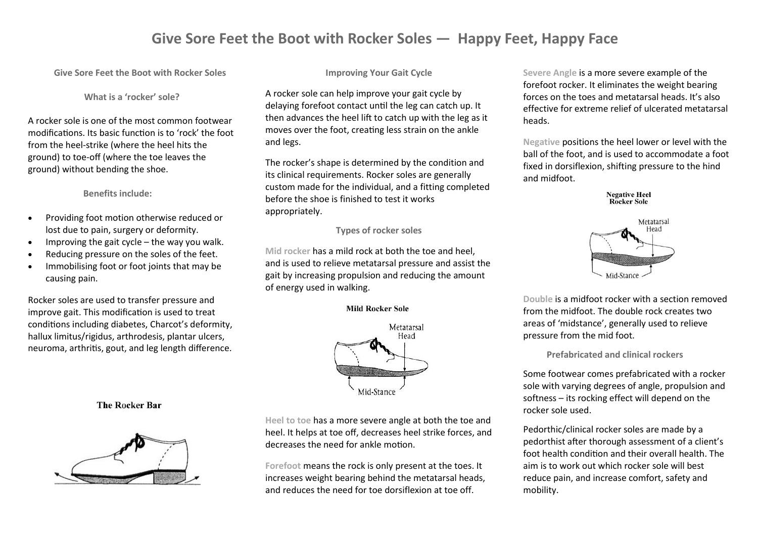## **Give Sore Feet the Boot with Rocker Soles — Happy Feet, Happy Face**

**Give Sore Feet the Boot with Rocker Soles**

**What is a 'rocker' sole?**

A rocker sole is one of the most common footwear modifications. Its basic function is to 'rock' the foot from the heel-strike (where the heel hits the ground) to toe-off (where the toe leaves the ground) without bending the shoe.

### **Benefits include:**

- Providing foot motion otherwise reduced or lost due to pain, surgery or deformity.
- $\bullet$  Improving the gait cycle the way you walk.
- Reducing pressure on the soles of the feet.
- Immobilising foot or foot joints that may be causing pain.

Rocker soles are used to transfer pressure and improve gait. This modification is used to treat conditions including diabetes, Charcot's deformity, hallux limitus/rigidus, arthrodesis, plantar ulcers, neuroma, arthritis, gout, and leg length difference.

### **Improving Your Gait Cycle**

A rocker sole can help improve your gait cycle by delaying forefoot contact until the leg can catch up. It then advances the heel lift to catch up with the leg as it moves over the foot, creating less strain on the ankle and legs.

The rocker's shape is determined by the condition and its clinical requirements. Rocker soles are generally custom made for the individual, and a fitting completed before the shoe is finished to test it works appropriately.

### **Types of rocker soles**

**Mid rocker** has a mild rock at both the toe and heel, and is used to relieve metatarsal pressure and assist the gait by increasing propulsion and reducing the amount of energy used in walking.

#### **Mild Rocker Sole**



**The Rocker Bar** 



**Heel to toe** has a more severe angle at both the toe and heel. It helps at toe off, decreases heel strike forces, and decreases the need for ankle motion.

**Forefoot** means the rock is only present at the toes. It increases weight bearing behind the metatarsal heads, and reduces the need for toe dorsiflexion at toe off.

**Severe Angle** is a more severe example of the forefoot rocker. It eliminates the weight bearing forces on the toes and metatarsal heads. It's also effective for extreme relief of ulcerated metatarsal heads.

**Negative** positions the heel lower or level with the ball of the foot, and is used to accommodate a foot fixed in dorsiflexion, shifting pressure to the hind and midfoot.





**Double** is a midfoot rocker with a section removed from the midfoot. The double rock creates two areas of 'midstance', generally used to relieve pressure from the mid foot.

**Prefabricated and clinical rockers**

Some footwear comes prefabricated with a rocker sole with varying degrees of angle, propulsion and softness – its rocking effect will depend on the rocker sole used.

Pedorthic/clinical rocker soles are made by a pedorthist after thorough assessment of a client's foot health condition and their overall health. The aim is to work out which rocker sole will best reduce pain, and increase comfort, safety and mobility.